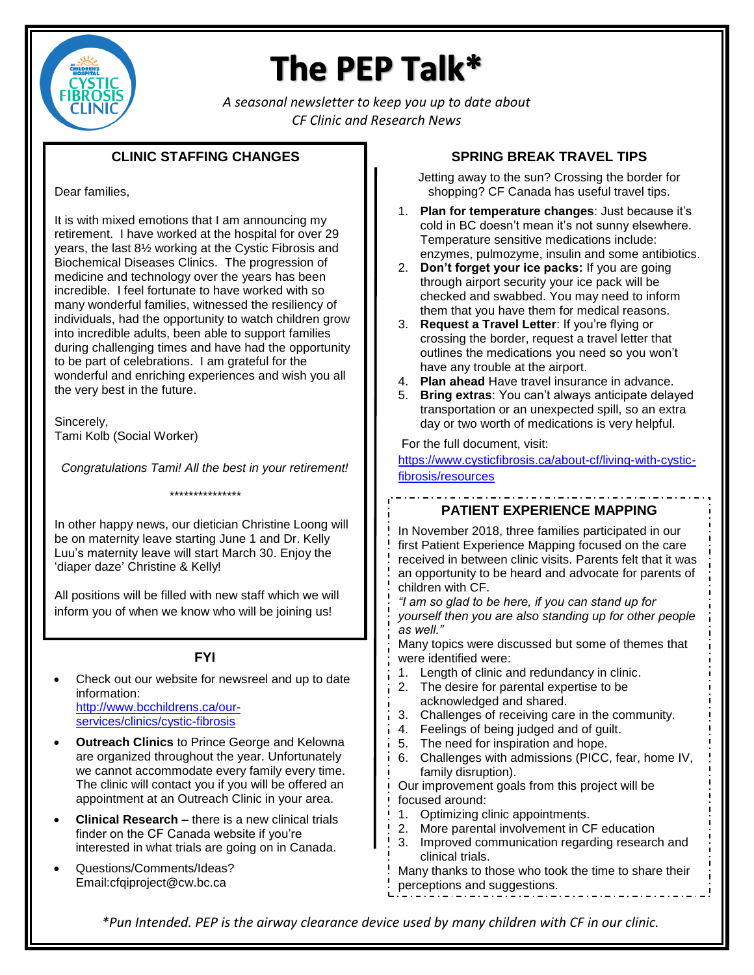

# The PEP Talk\*

*A seasonal newsletter to keep you up to date about CF Clinic and Research News*

## **CLINIC STAFFING CHANGES**

## Dear families,

It is with mixed emotions that I am announcing my retirement. I have worked at the hospital for over 29 years, the last 8½ working at the Cystic Fibrosis and Biochemical Diseases Clinics. The progression of medicine and technology over the years has been incredible. I feel fortunate to have worked with so many wonderful families, witnessed the resiliency of individuals, had the opportunity to watch children grow into incredible adults, been able to support families during challenging times and have had the opportunity to be part of celebrations. I am grateful for the wonderful and enriching experiences and wish you all the very best in the future.

Sincerely, Tami Kolb (Social Worker)

*Congratulations Tami! All the best in your retirement! \*\*\*\*\*\*\*\*\*\*\*\*\*\*\**

In other happy news, our dietician Christine Loong will be on maternity leave starting June 1 and Dr. Kelly Luu's maternity leave will start March 30. Enjoy the 'diaper daze' Christine & Kelly!

All positions will be filled with new staff which we will inform you of when we know who will be joining us!

# **FYI**

- Check out our website for newsreel and up to date information: [http://www.bcchildrens.ca/our](http://www.bcchildrens.ca/our-services/clinics/cystic-fibrosis)[services/clinics/cystic-fibrosis](http://www.bcchildrens.ca/our-services/clinics/cystic-fibrosis)
- **Outreach Clinics** to Prince George and Kelowna are organized throughout the year. Unfortunately we cannot accommodate every family every time. The clinic will contact you if you will be offered an appointment at an Outreach Clinic in your area.
- **Clinical Research –** there is a new clinical trials finder on the CF Canada website if you're interested in what trials are going on in Canada.
- Questions/Comments/Ideas? Email:cfqiproject@cw.bc.ca

## **SPRING BREAK TRAVEL TIPS**

Jetting away to the sun? Crossing the border for shopping? CF Canada has useful travel tips.

- 1. **Plan for temperature changes**: Just because it's cold in BC doesn't mean it's not sunny elsewhere. Temperature sensitive medications include: enzymes, pulmozyme, insulin and some antibiotics.
- 2. **Don't forget your ice packs:** If you are going through airport security your ice pack will be checked and swabbed. You may need to inform them that you have them for medical reasons.
- 3. **Request a Travel Letter**: If you're flying or crossing the border, request a travel letter that outlines the medications you need so you won't have any trouble at the airport.
- 4. **Plan ahead** Have travel insurance in advance.
- 5. **Bring extras**: You can't always anticipate delayed transportation or an unexpected spill, so an extra day or two worth of medications is very helpful.

For the full document, visit:

[https://www.cysticfibrosis.ca/about-cf/living-with-cystic](https://www.cysticfibrosis.ca/about-cf/living-with-cystic-fibrosis/resources)[fibrosis/resources](https://www.cysticfibrosis.ca/about-cf/living-with-cystic-fibrosis/resources)

# **PATIENT EXPERIENCE MAPPING**

In November 2018, three families participated in our first Patient Experience Mapping focused on the care received in between clinic visits. Parents felt that it was an opportunity to be heard and advocate for parents of children with CF.

*"I am so glad to be here, if you can stand up for yourself then you are also standing up for other people as well."*

Many topics were discussed but some of themes that were identified were:

- 1. Length of clinic and redundancy in clinic.
- 2. The desire for parental expertise to be acknowledged and shared.
- 3. Challenges of receiving care in the community.
- 4. Feelings of being judged and of guilt.
- 5. The need for inspiration and hope.
- 6. Challenges with admissions (PICC, fear, home IV, family disruption).

Our improvement goals from this project will be focused around:

- 1. Optimizing clinic appointments.
- 2. More parental involvement in CF education
- 3. Improved communication regarding research and clinical trials.

Many thanks to those who took the time to share their perceptions and suggestions.

*\*Pun Intended. PEP is the airway clearance device used by many children with CF in our clinic.*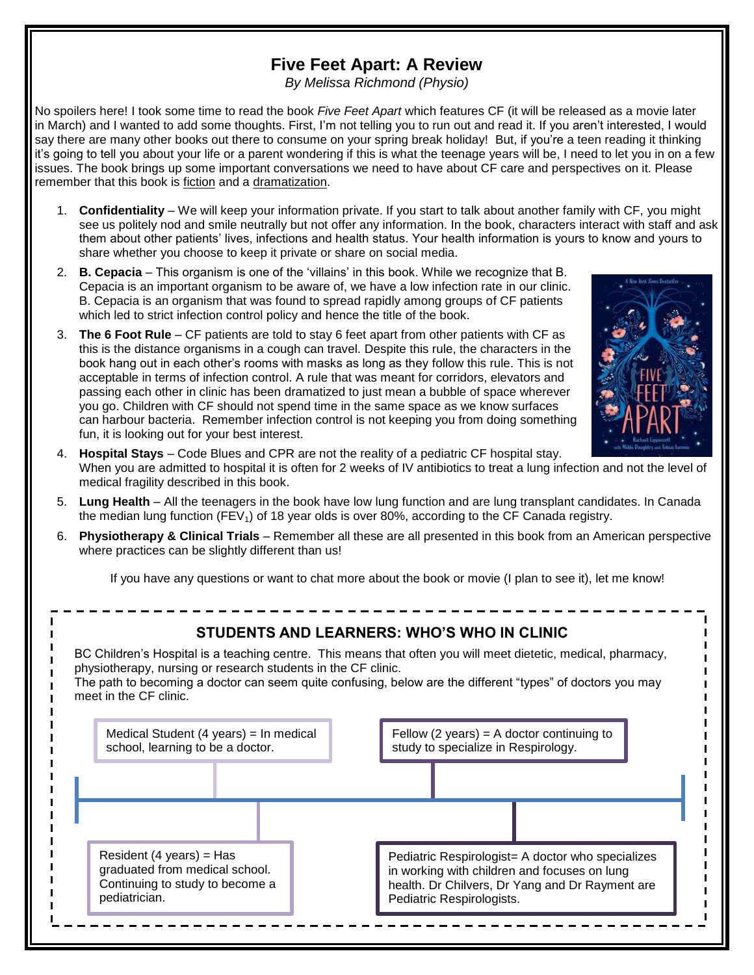# **Five Feet Apart: A Review**

*By Melissa Richmond (Physio)*

No spoilers here! I took some time to read the book *Five Feet Apart* which features CF (it will be released as a movie later in March) and I wanted to add some thoughts. First, I'm not telling you to run out and read it. If you aren't interested, I would say there are many other books out there to consume on your spring break holiday! But, if you're a teen reading it thinking it's going to tell you about your life or a parent wondering if this is what the teenage years will be, I need to let you in on a few issues. The book brings up some important conversations we need to have about CF care and perspectives on it. Please remember that this book is fiction and a dramatization.

- 1. **Confidentiality** We will keep your information private. If you start to talk about another family with CF, you might see us politely nod and smile neutrally but not offer any information. In the book, characters interact with staff and ask them about other patients' lives, infections and health status. Your health information is yours to know and yours to share whether you choose to keep it private or share on social media.
- 2. **B. Cepacia** This organism is one of the 'villains' in this book. While we recognize that B. Cepacia is an important organism to be aware of, we have a low infection rate in our clinic. B. Cepacia is an organism that was found to spread rapidly among groups of CF patients which led to strict infection control policy and hence the title of the book.
- 3. **The 6 Foot Rule** CF patients are told to stay 6 feet apart from other patients with CF as this is the distance organisms in a cough can travel. Despite this rule, the characters in the book hang out in each other's rooms with masks as long as they follow this rule. This is not acceptable in terms of infection control. A rule that was meant for corridors, elevators and passing each other in clinic has been dramatized to just mean a bubble of space wherever you go. Children with CF should not spend time in the same space as we know surfaces can harbour bacteria. Remember infection control is not keeping you from doing something fun, it is looking out for your best interest.



- 4. **Hospital Stays** Code Blues and CPR are not the reality of a pediatric CF hospital stay. When you are admitted to hospital it is often for 2 weeks of IV antibiotics to treat a lung infection and not the level of medical fragility described in this book.
- 5. **Lung Health** All the teenagers in the book have low lung function and are lung transplant candidates. In Canada the median lung function (FEV<sub>1</sub>) of 18 year olds is over 80%, according to the CF Canada registry.
- 6. **Physiotherapy & Clinical Trials** Remember all these are all presented in this book from an American perspective where practices can be slightly different than us!

If you have any questions or want to chat more about the book or movie (I plan to see it), let me know!